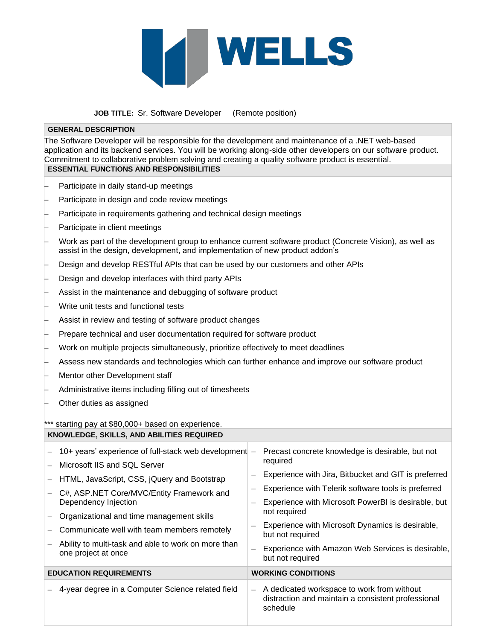

 **JOB TITLE:** Sr. Software Developer (Remote position)

## **GENERAL DESCRIPTION**

The Software Developer will be responsible for the development and maintenance of a .NET web-based application and its backend services. You will be working along-side other developers on our software product. Commitment to collaborative problem solving and creating a quality software product is essential. **ESSENTIAL FUNCTIONS AND RESPONSIBILITIES**

- − Participate in daily stand-up meetings
- Participate in design and code review meetings
- Participate in requirements gathering and technical design meetings
- Participate in client meetings
- Work as part of the development group to enhance current software product (Concrete Vision), as well as assist in the design, development, and implementation of new product addon's
- Design and develop RESTful APIs that can be used by our customers and other APIs
- Design and develop interfaces with third party APIs
- Assist in the maintenance and debugging of software product
- − Write unit tests and functional tests
- Assist in review and testing of software product changes
- Prepare technical and user documentation required for software product
- Work on multiple projects simultaneously, prioritize effectively to meet deadlines
- − Assess new standards and technologies which can further enhance and improve our software product
- − Mentor other Development staff
- − Administrative items including filling out of timesheets
- Other duties as assigned

\*\*\* starting pay at \$80,000+ based on experience. **KNOWLEDGE, SKILLS, AND ABILITIES REQUIRED**

| 10+ years' experience of full-stack web development $-$<br>Microsoft IIS and SQL Server<br>HTML, JavaScript, CSS, jQuery and Bootstrap<br>C#, ASP.NET Core/MVC/Entity Framework and<br>Dependency Injection<br>Organizational and time management skills<br>Communicate well with team members remotely<br>Ability to multi-task and able to work on more than<br>one project at once | Precast concrete knowledge is desirable, but not<br>required<br>Experience with Jira, Bitbucket and GIT is preferred<br>Experience with Telerik software tools is preferred<br>Experience with Microsoft PowerBI is desirable, but<br>not required<br>Experience with Microsoft Dynamics is desirable,<br>but not required<br>Experience with Amazon Web Services is desirable,<br>but not required |
|---------------------------------------------------------------------------------------------------------------------------------------------------------------------------------------------------------------------------------------------------------------------------------------------------------------------------------------------------------------------------------------|-----------------------------------------------------------------------------------------------------------------------------------------------------------------------------------------------------------------------------------------------------------------------------------------------------------------------------------------------------------------------------------------------------|
| <b>EDUCATION REQUIREMENTS</b>                                                                                                                                                                                                                                                                                                                                                         | <b>WORKING CONDITIONS</b>                                                                                                                                                                                                                                                                                                                                                                           |
| 4-year degree in a Computer Science related field                                                                                                                                                                                                                                                                                                                                     | A dedicated workspace to work from without<br>distraction and maintain a consistent professional<br>schedule                                                                                                                                                                                                                                                                                        |